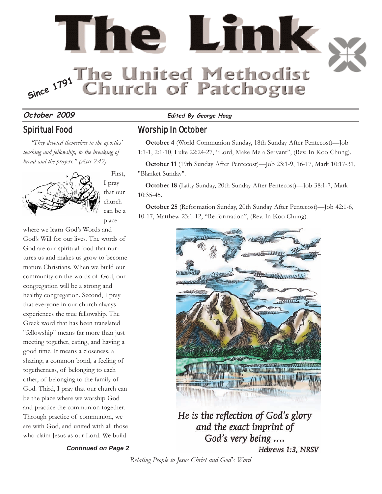

# Spiritual Food

*"They devoted themselves to the apostles' teaching and fellowship, to the breaking of bread and the prayers." (Acts 2:42)* 



First, I pray that our church can be a place

where we learn God's Words and God's Will for our lives. The words of God are our spiritual food that nurtures us and makes us grow to become mature Christians. When we build our community on the words of God, our congregation will be a strong and healthy congregation. Second, I pray that everyone in our church always experiences the true fellowship. The Greek word that has been translated "fellowship" means far more than just meeting together, eating, and having a good time. It means a closeness, a sharing, a common bond, a feeling of togetherness, of belonging to each other, of belonging to the family of God. Third, I pray that our church can be the place where we worship God and practice the communion together. Through practice of communion, we are with God, and united with all those who claim Jesus as our Lord. We build

*Continued on Page 2*

#### **October 2009 Edited By George Hoag**

## Worship In October

**October 4** (World Communion Sunday, 18th Sunday After Pentecost)—Job 1:1-1, 2:1-10, Luke 22:24-27, "Lord, Make Me a Servant", (Rev. In Koo Chung).

**October 11** (19th Sunday After Pentecost)—Job 23:1-9, 16-17, Mark 10:17-31, "Blanket Sunday".

**October 18** (Laity Sunday, 20th Sunday After Pentecost)—Job 38:1-7, Mark 10:35-45.

**October 25** (Reformation Sunday, 20th Sunday After Pentecost)—Job 42:1-6, 10-17, Matthew 23:1-12, "Re-formation", (Rev. In Koo Chung).



He is the reflection of God's glory and the exact imprint of God's very being .... Hebrews 1:3, NRSV

*Relating People to Jesus Christ and God's Word*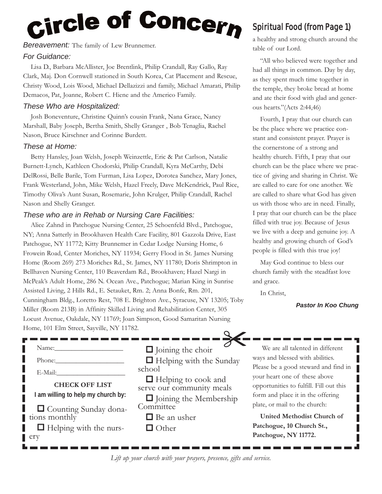# <sub>Circle</sub> of Concer<sub>n</sub>

*Bereavement:* The family of Lew Brunnemer.

#### *For Guidance:*

Lisa D., Barbara McAllister, Joe Brentlink, Philip Crandall, Ray Gallo, Ray Clark, Maj. Don Cornwell stationed in South Korea, Cat Placement and Rescue, Christy Wood, Lois Wood, Michael Dellazizzi and family, Michael Amarati, Philip Demacos, Pat, Joanne, Robert C. Hiene and the Americo Family.

#### *These Who are Hospitalized:*

Josh Boneventure, Christine Quinn's cousin Frank, Nana Grace, Nancy Marshall, Baby Joseph, Bertha Smith, Shelly Granger , Bob Tenaglia, Rachel Nason, Bruce Kirschner and Corinne Burdett.

#### *These at Home:*

Betty Hansley, Joan Welsh, Joseph Weinzettle, Eric & Pat Carlson, Natalie Burnett-Lynch, Kathleen Chodorski, Philip Crandall, Kyra McCarthy, Debi DelRossi, Belle Barile, Tom Furman, Lisa Lopez, Dorotea Sanchez, Mary Jones, Frank Westerland, John, Mike Welsh, Hazel Freely, Dave McKendrick, Paul Rice, Timothy Oliva's Aunt Susan, Rosemarie, John Krulger, Philip Crandall, Rachel Nason and Shelly Granger.

### *These who are in Rehab or Nursing Care Facilities:*

Alice Zahnd in Patchogue Nursing Center, 25 Schoenfeld Blvd., Patchogue, NY; Anna Satterly in Brookhaven Health Care Facility, 801 Gazzola Drive, East Patchogue, NY 11772; Kitty Brunnemer in Cedar Lodge Nursing Home, 6 Frowein Road, Center Moriches, NY 11934; Gerry Flood in St. James Nursing Home (Room 269) 273 Moriches Rd., St. James, NY 11780; Doris Shrimpton in Bellhaven Nursing Center, 110 Beaverdam Rd., Brookhaven; Hazel Nargi in McPeak's Adult Home, 286 N. Ocean Ave., Patchogue; Marian King in Sunrise Assisted Living, 2 Hills Rd., E. Setauket, Rm. 2; Anna Bonfe, Rm. 201, Cunningham Bldg., Loretto Rest, 708 E. Brighton Ave., Syracuse, NY 13205; Toby Miller (Room 213B) in Affinity Skilled Living and Rehabilitation Center, 305 Locust Avenue, Oakdale, NY 11769; Joan Simpson, Good Samaritan Nursing Home, 101 Elm Street, Sayville, NY 11782.

| Name:                                                                                |     |
|--------------------------------------------------------------------------------------|-----|
| Phone:                                                                               |     |
| E-Mail:                                                                              | sch |
| <b>CHECK OFF LIST</b><br>I am willing to help my church by:                          | ser |
| $\Box$ Counting Sunday dona-<br>tions monthly<br>$\Box$ Helping with the nurs-<br>er |     |

 $\Box$  Joining the choir  $\Box$  Helping with the Sunday school  $\frac{1}{2}$ 

■ Helping to cook and ve our community meals

 $\Box$  Joining the Membership mmittee

- Be an usher
- □ Other

# Spiritual Food (from Page 1)

a healthy and strong church around the table of our Lord.

"All who believed were together and had all things in common. Day by day, as they spent much time together in the temple, they broke bread at home and ate their food with glad and generous hearts."(Acts 2:44,46)

Fourth, I pray that our church can be the place where we practice constant and consistent prayer. Prayer is the cornerstone of a strong and healthy church. Fifth, I pray that our church can be the place where we practice of giving and sharing in Christ. We are called to care for one another. We are called to share what God has given us with those who are in need. Finally, I pray that our church can be the place filled with true joy. Because of Jesus we live with a deep and genuine joy. A healthy and growing church of God's people is filled with this true joy!

May God continue to bless our church family with the steadfast love and grace.

In Christ,

#### *Pastor In Koo Chung*

Г

We are all talented in different ways and blessed with abilities. Please be a good steward and find in your heart one of these above opportunities to fulfill. Fill out this form and place it in the offering plate, or mail to the church:

**United Methodist Church of Patchogue, 10 Church St., Patchogue, NY 11772.**

*Lift up your church with your prayers, presence, gifts and service.*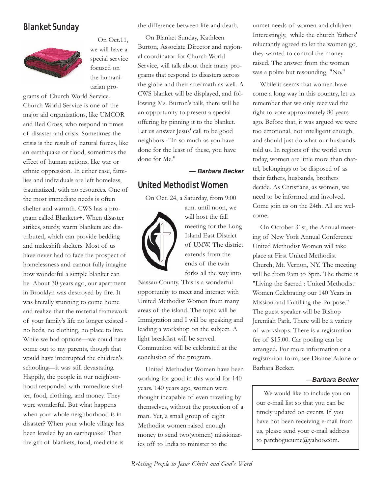# Blanket Sunday



On Oct.11, we will have a special service focused on the humanitarian pro-

grams of Church World Service. Church World Service is one of the major aid organizations, like UMCOR and Red Cross, who respond in times of disaster and crisis. Sometimes the crisis is the result of natural forces, like an earthquake or flood, sometimes the effect of human actions, like war or ethnic oppression. In either case, families and individuals are left homeless, traumatized, with no resources. One of the most immediate needs is often shelter and warmth. CWS has a program called Blankets+. When disaster strikes, sturdy, warm blankets are distributed, which can provide bedding and makeshift shelters. Most of us have never had to face the prospect of homelessness and cannot fully imagine how wonderful a simple blanket can be. About 30 years ago, our apartment in Brooklyn was destroyed by fire. It was literally stunning to come home and realize that the material framework of your family's life no longer existed no beds, no clothing, no place to live. While we had options—we could have come out to my parents, though that would have interrupted the children's schooling—it was still devastating. Happily, the people in our neighborhood responded with immediate shelter, food, clothing, and money. They were wonderful. But what happens when your whole neighborhood is in disaster? When your whole village has been leveled by an earthquake? Then the gift of blankets, food, medicine is

the difference between life and death.

On Blanket Sunday, Kathleen Burton, Associate Director and regional coordinator for Church World Service, will talk about their many programs that respond to disasters across the globe and their aftermath as well. A CWS blanket will be displayed, and following Ms. Burton's talk, there will be an opportunity to present a special offering by pinning it to the blanket. Let us answer Jesus' call to be good neighbors -"In so much as you have done for the least of these, you have done for Me."

*— Barbara Becker*

# United Methodist Women

On Oct. 24, a Saturday, from 9:00



a.m. until noon, we will host the fall meeting for the Long Island East District of UMW. The district extends from the ends of the twin forks all the way into

Nassau County. This is a wonderful opportunity to meet and interact with United Methodist Women from many areas of the island. The topic will be Immigration and I will be speaking and leading a workshop on the subject. A light breakfast will be served. Communion will be celebrated at the conclusion of the program.

United Methodist Women have been working for good in this world for 140 years. 140 years ago, women were thought incapable of even traveling by themselves, without the protection of a man. Yet, a small group of eight Methodist women raised enough money to send two(women) missionaries off to India to minister to the

unmet needs of women and children. Interestingly, while the church 'fathers' reluctantly agreed to let the women go, they wanted to control the money raised. The answer from the women was a polite but resounding, "No."

While it seems that women have come a long way in this country, let us remember that we only received the right to vote approximately 80 years ago. Before that, it was argued we were too emotional, not intelligent enough, and should just do what our husbands told us. In regions of the world even today, women are little more than chattel, belongings to be disposed of as their fathers, husbands, brothers decide. As Christians, as women, we need to be informed and involved. Come join us on the 24th. All are welcome.

On October 31st, the Annual meeting of New York Annual Conference United Methodist Women will take place at First United Methodist Church, Mt. Vernon, NY. The meeting will be from 9am to 3pm. The theme is "Living the Sacred : United Methodist Women Celebrating our 140 Years in Mission and Fulfilling the Purpose." The guest speaker will be Bishop Jeremiah Park. There will be a variety of workshops. There is a registration fee of \$15.00. Car pooling can be arranged. For more information or a registration form, see Dianne Adone or Barbara Becker.

#### *—Barbara Becker*

We would like to include you on our e-mail list so that you can be timely updated on events. If you have not been receiving e-mail from us, please send your e-mail address to patchogueumc@yahoo.com.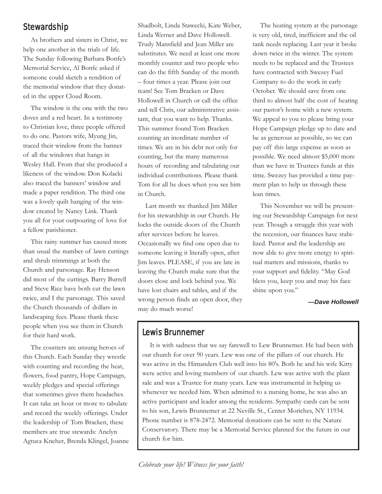# Stewardship

As brothers and sisters in Christ, we help one another in the trials of life. The Sunday following Barbara Bonfe's Memorial Service, Al Bonfe asked if someone could sketch a rendition of the memorial window that they donated in the upper Cloud Room.

The window is the one with the two doves and a red heart. In a testimony to Christian love, three people offered to do one. Pastors wife, Myung Jin, traced their window from the banner of all the windows that hangs in Wesley Hall. From that she produced a likeness of the window. Don Kolacki also traced the banners' window and made a paper rendition. The third one was a lovely quilt hanging of the window created by Nancy Link. Thank you all for your outpouring of love for a fellow parishioner.

This rainy summer has caused more than usual the number of lawn cuttings and shrub trimmings at both the Church and parsonage. Ray Henson did most of the cuttings. Barry Burrell and Steve Rice have both cut the lawn twice, and I the parsonage. This saved the Church thousands of dollars in landscaping fees. Please thank these people when you see them in Church for their hard work.

The counters are unsung heroes of this Church. Each Sunday they wrestle with counting and recording the heat, flowers, food pantry, Hope Campaign, weekly pledges and special offerings that sometimes gives them headaches. It can take an hour or more to tabulate and record the weekly offerings. Under the leadership of Tom Bracken, these members are true stewards: Anelyn Agtuca Kneher, Brenda Klingel, Joanne Shadbolt, Linda Stawecki, Kate Weber, Linda Werner and Dave Hollowell. Trudy Mansfield and Jean Miller are substitutes. We need at least one more monthly counter and two people who can do the fifth Sunday of the month – four times a year. Please join our team! See Tom Bracken or Dave Hollowell in Church or call the office and tell Chris, our administrative assistant, that you want to help. Thanks. This summer found Tom Bracken counting an inordinate number of times. We are in his debt not only for counting, but the many numerous hours of recording and tabulating our individual contributions. Please thank Tom for all he does when you see him in Church.

Last month we thanked Jim Miller for his stewardship in our Church. He locks the outside doors of the Church after services before he leaves. Occasionally we find one open due to someone leaving it literally open, after Jim leaves. PLEASE, if you are late in leaving the Church make sure that the doors close and lock behind you. We have lost chairs and tables, and if the wrong person finds an open door, they may do much worse!

The heating system at the parsonage is very old, tired, inefficient and the oil tank needs replacing. Last year it broke down twice in the winter. The system needs to be replaced and the Trustees have contracted with Swezey Fuel Company to do the work in early October. We should save from one third to almost half the cost of heating our pastor's home with a new system. We appeal to you to please bring your Hope Campaign pledge up to date and be as generous as possible, so we can pay off this large expense as soon as possible. We need almost \$5,000 more than we have in Trustees funds at this time. Swezey has provided a time payment plan to help us through these lean times.

This November we will be presenting our Stewardship Campaign for next year. Though a struggle this year with the recession, our finances have stabilized. Pastor and the leadership are now able to give more energy to spiritual matters and missions, thanks to your support and fidelity. "May God bless you, keep you and may his face shine upon you."

*—Dave Hollowell*

# Lewis Brunnemer

It is with sadness that we say farewell to Lew Brunnemer. He had been with our church for over 90 years. Lew was one of the pillars of our church. He was active in the Himanders Club well into his 80's. Both he and his wife Kitty were active and loving members of our church. Lew was active with the plant sale and was a Trustee for many years. Lew was instrumental in helping us whenever we needed him. When admitted to a nursing home, he was also an active participant and leader among the residents. Sympathy cards can be sent to his son, Lewis Brunnemer at 22 Neville St., Center Moriches, NY 11934. Phone number is 878-2472. Memorial donations can be sent to the Nature Conservatory. There may be a Memorial Service planned for the future in our church for him.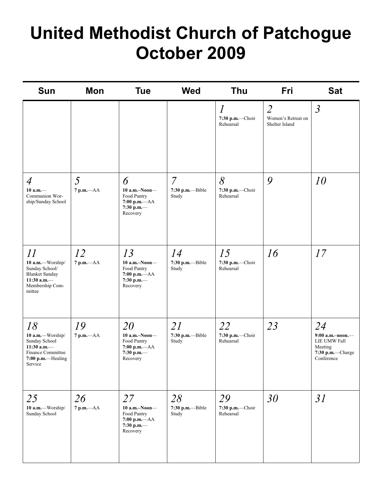# **United Methodist Church of Patchogue October 2009**

| <b>Sun</b>                                                                                                       | Mon                  | <b>Tue</b>                                                                          | <b>Wed</b>                                     | <b>Thu</b>                                       | Fri                                                    | <b>Sat</b>                                                                            |
|------------------------------------------------------------------------------------------------------------------|----------------------|-------------------------------------------------------------------------------------|------------------------------------------------|--------------------------------------------------|--------------------------------------------------------|---------------------------------------------------------------------------------------|
|                                                                                                                  |                      |                                                                                     |                                                | $\overline{l}$<br>$7:30$ p.m.-Choir<br>Rehearsal | $\overline{2}$<br>Women's Retreat on<br>Shelter Island | $\mathfrak{Z}$                                                                        |
| $\overline{4}$<br>$10 a.m.$ —<br>Communion Wor-<br>ship/Sunday School                                            | 5<br>$7$ p.m. $-AA$  | 6<br>$10$ a.m.-Noon-<br>Food Pantry<br>$7:00$ p.m. $-AA$<br>7:30 p.m.-<br>Recovery  | $\overline{7}$<br>$7:30$ p.m.---Bible<br>Study | 8<br>7:30 p.m.-Choir<br>Rehearsal                | 9                                                      | 10                                                                                    |
| 11<br>10 a.m.-Worship/<br>Sunday School/<br><b>Blanket Sunday</b><br>11:30 a.m. $-$<br>Membership Com-<br>mittee | 12<br>$7 p.m. -AA$   | 13<br>$10$ a.m.-Noon-<br>Food Pantry<br>$7:00$ p.m.— $AA$<br>7:30 p.m.-<br>Recovery | 14<br>7:30 p.m.--Bible<br>Study                | 15<br>7:30 p.m.-Choir<br>Rehearsal               | 16                                                     | 17                                                                                    |
| 18<br>10 a.m.-Worship/<br>Sunday School<br>11:30 a.m. $-$<br>Finance Committee<br>7:00 p.m.-Healing<br>Service   | 19<br>$7$ p.m. $-AA$ | 20<br>$10$ a.m.-Noon-<br>Food Pantry<br>$7:00$ p.m. $-AA$<br>7:30 p.m.-<br>Recovery | 21<br>7:30 p.m.--Bible<br>Study                | 22<br>7:30 p.m.-Choir<br>Rehearsal               | 23                                                     | 24<br>$9:00$ a.m.-noon.-<br>LIE UMW Fall<br>Meeting<br>7:30 p.m.-Charge<br>Conference |
| 25<br>10 a.m.-Worship/<br>Sunday School                                                                          | 26<br>$7 p.m. -AA$   | 27<br>$10$ a.m.-Noon-<br>Food Pantry<br>$7:00$ p.m.— $AA$<br>7:30 p.m.-<br>Recovery | 28<br>7:30 p.m.--Bible<br>Study                | 29<br>7:30 p.m.-Choir<br>Rehearsal               | 30                                                     | 31                                                                                    |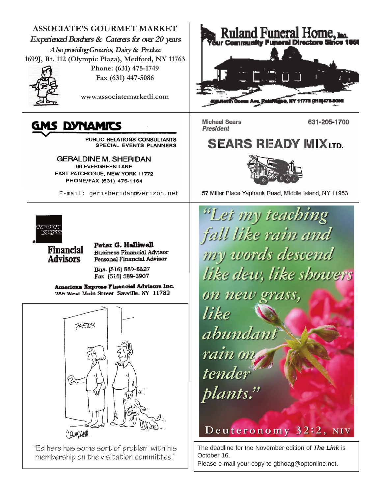**ASSOCIATE'S GOURMET MARKET Experienced Butchers & Caterers for over 20 years Also providing Groceries, Dairy & Produce 1699J, Rt. 112 (Olympic Plaza), Medford, NY 11763**



**Phone: (631) 475-1749 Fax (631) 447-5086**

**www.associatemarketli.com**

# GMS DYNAMITS

PUBLIC RELATIONS CONSULTANTS SPECIAL EVENTS PLANNERS

**GERALDINE M. SHERIDAN** 96 EVERGREEN LANE EAST PATCHOGUE, NEW YORK 11772 PHONE/FAX (631) 475-1164

E-mail: gerisheridan@verizon.net



**Financial Advisors** 

Peter G. Halliwell **Business Financial Advisor** Personal Financial Advisor

Bus. (516) 589-5327 Fax (516) 589-3907

American Express Financial Advisors Inc. **285 West Main Street Savville. NY 11782** 



"Ed here has some sort of problem with his membership on the visitation committee."



**Michael Sears** President

631-205-1700

# **SEARS READY MIX LTD.**



57 Miller Place Yaphank Road, Middle Island, NY 11953

"Let my teaching fall like rain and my words descend like dew, like sbowers on new grass, like abundant tender plants."

Deuteronomy 32:2, NIV

The deadline for the November edition of *The Link* is October 16.

Please e-mail your copy to gbhoag@optonline.net.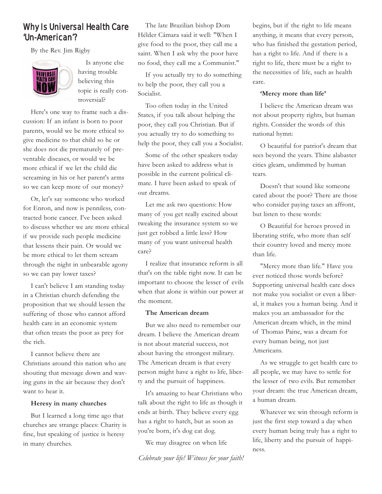# Why Is Universal Health Care 'Un-American'?

By the Rev. Jim Rigby



Is anyone else having trouble believing this topic is really controversial?

Here's one way to frame such a discussion: If an infant is born to poor parents, would we be more ethical to give medicine to that child so he or she does not die prematurely of preventable diseases, or would we be more ethical if we let the child die screaming in his or her parent's arms so we can keep more of our money?

Or, let's say someone who worked for Enron, and now is penniless, contracted bone cancer. I've been asked to discuss whether we are more ethical if we provide such people medicine that lessens their pain. Or would we be more ethical to let them scream through the night in unbearable agony so we can pay lower taxes?

I can't believe I am standing today in a Christian church defending the proposition that we should lessen the suffering of those who cannot afford health care in an economic system that often treats the poor as prey for the rich.

I cannot believe there are Christians around this nation who are shouting that message down and waving guns in the air because they don't want to hear it.

#### **Heresy in many churches**

But I learned a long time ago that churches are strange places: Charity is fine, but speaking of justice is heresy in many churches.

The late Brazilian bishop Dom Hélder Câmara said it well: "When I give food to the poor, they call me a saint. When I ask why the poor have no food, they call me a Communist."

If you actually try to do something to help the poor, they call you a Socialist.

Too often today in the United States, if you talk about helping the poor, they call you Christian. But if you actually try to do something to help the poor, they call you a Socialist.

Some of the other speakers today have been asked to address what is possible in the current political climate. I have been asked to speak of our dreams.

Let me ask two questions: How many of you get really excited about tweaking the insurance system so we just get robbed a little less? How many of you want universal health care?

I realize that insurance reform is all that's on the table right now. It can be important to choose the lesser of evils when that alone is within our power at the moment.

#### **The American dream**

But we also need to remember our dream. I believe the American dream is not about material success, not about having the strongest military. The American dream is that every person might have a right to life, liberty and the pursuit of happiness.

It's amazing to hear Christians who talk about the right to life as though it ends at birth. They believe every egg has a right to hatch, but as soon as you're born, it's dog eat dog.

We may disagree on when life

begins, but if the right to life means anything, it means that every person, who has finished the gestation period, has a right to life. And if there is a right to life, there must be a right to the necessities of life, such as health care.

#### **'Mercy more than life'**

I believe the American dream was not about property rights, but human rights. Consider the words of this national hymn:

O beautiful for patriot's dream that sees beyond the years. Thine alabaster cities gleam, undimmed by human tears.

Doesn't that sound like someone cared about the poor? There are those who consider paying taxes an affront, but listen to these words:

O Beautiful for heroes proved in liberating strife, who more than self their country loved and mercy more than life.

"Mercy more than life." Have you ever noticed those words before? Supporting universal health care does not make you socialist or even a liberal, it makes you a human being. And it makes you an ambassador for the American dream which, in the mind of Thomas Paine, was a dream for every human being, not just Americans.

As we struggle to get health care to all people, we may have to settle for the lesser of two evils. But remember your dream: the true American dream, a human dream.

Whatever we win through reform is just the first step toward a day when every human being truly has a right to life, liberty and the pursuit of happiness.